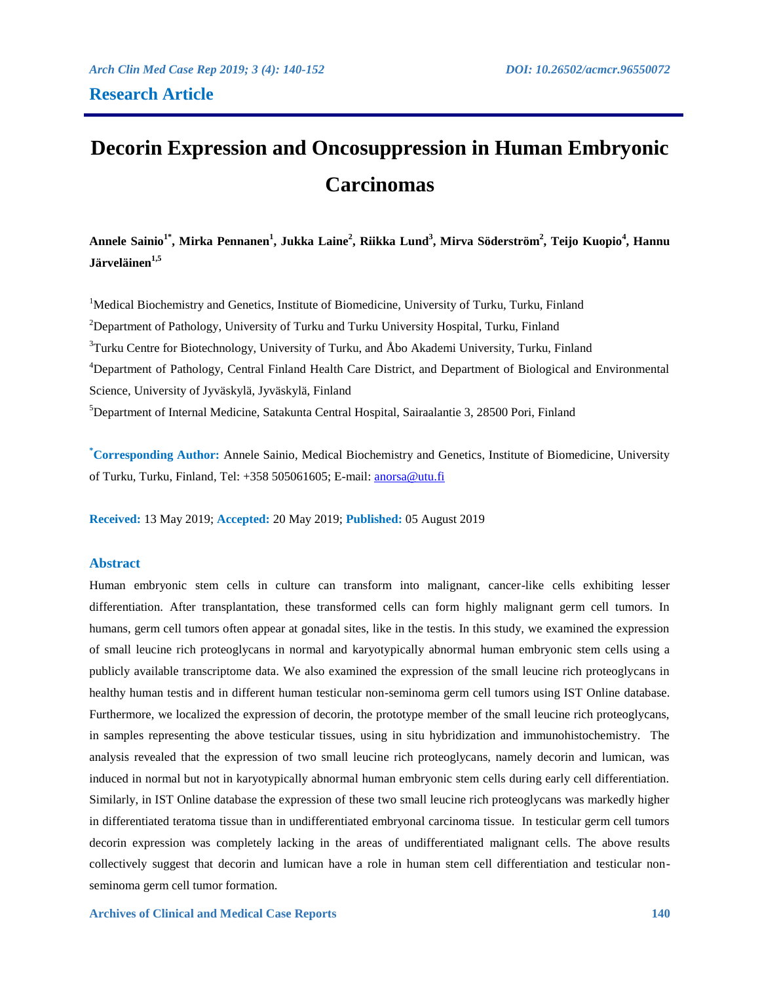# **Decorin Expression and Oncosuppression in Human Embryonic Carcinomas**

**Annele Sainio1\*, Mirka Pennanen<sup>1</sup> , Jukka Laine<sup>2</sup> , Riikka Lund<sup>3</sup> , Mirva Söderström 2 , Teijo Kuopio<sup>4</sup> , Hannu Järveläinen1,5**

<sup>1</sup>Medical Biochemistry and Genetics, Institute of Biomedicine, University of Turku, Turku, Finland <sup>2</sup>Department of Pathology, University of Turku and Turku University Hospital, Turku, Finland  $3$ Turku Centre for Biotechnology, University of Turku, and Åbo Akademi University, Turku, Finland <sup>4</sup>Department of Pathology, Central Finland Health Care District, and Department of Biological and Environmental Science, University of Jyväskylä, Jyväskylä, Finland <sup>5</sup>Department of Internal Medicine, Satakunta Central Hospital, Sairaalantie 3, 28500 Pori, Finland

**\*Corresponding Author:** Annele Sainio, Medical Biochemistry and Genetics, Institute of Biomedicine, University of Turku, Turku, Finland, Tel: +358 505061605; E-mail:<anorsa@utu.fi>

**Received:** 13 May 2019; **Accepted:** 20 May 2019; **Published:** 05 August 2019

## **Abstract**

Human embryonic stem cells in culture can transform into malignant, cancer-like cells exhibiting lesser differentiation. After transplantation, these transformed cells can form highly malignant germ cell tumors. In humans, germ cell tumors often appear at gonadal sites, like in the testis. In this study, we examined the expression of small leucine rich proteoglycans in normal and karyotypically abnormal human embryonic stem cells using a publicly available transcriptome data. We also examined the expression of the small leucine rich proteoglycans in healthy human testis and in different human testicular non-seminoma germ cell tumors using IST Online database. Furthermore, we localized the expression of decorin, the prototype member of the small leucine rich proteoglycans, in samples representing the above testicular tissues, using in situ hybridization and immunohistochemistry. The analysis revealed that the expression of two small leucine rich proteoglycans, namely decorin and lumican, was induced in normal but not in karyotypically abnormal human embryonic stem cells during early cell differentiation. Similarly, in IST Online database the expression of these two small leucine rich proteoglycans was markedly higher in differentiated teratoma tissue than in undifferentiated embryonal carcinoma tissue. In testicular germ cell tumors decorin expression was completely lacking in the areas of undifferentiated malignant cells. The above results collectively suggest that decorin and lumican have a role in human stem cell differentiation and testicular nonseminoma germ cell tumor formation.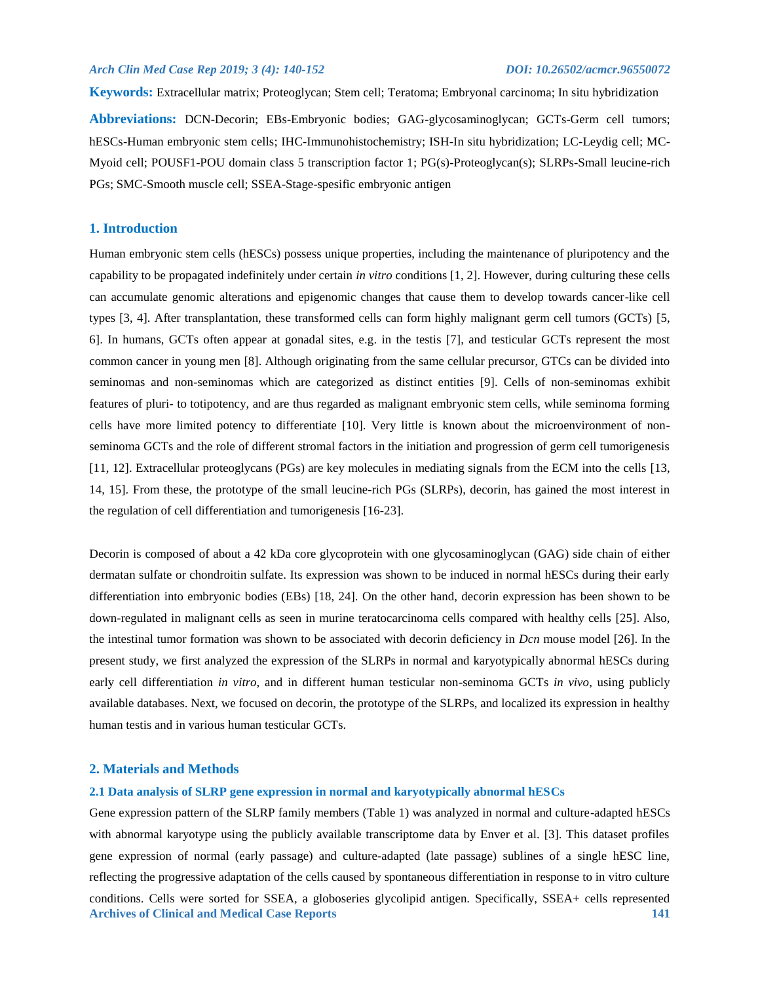PGs; SMC-Smooth muscle cell; SSEA-Stage-spesific embryonic antigen

**Keywords:** Extracellular matrix; Proteoglycan; Stem cell; Teratoma; Embryonal carcinoma; In situ hybridization **Abbreviations:** DCN-Decorin; EBs-Embryonic bodies; GAG-glycosaminoglycan; GCTs-Germ cell tumors; hESCs-Human embryonic stem cells; IHC-Immunohistochemistry; ISH-In situ hybridization; LC-Leydig cell; MC-Myoid cell; POUSF1-POU domain class 5 transcription factor 1; PG(s)-Proteoglycan(s); SLRPs-Small leucine-rich

## **1. Introduction**

Human embryonic stem cells (hESCs) possess unique properties, including the maintenance of pluripotency and the capability to be propagated indefinitely under certain *in vitro* conditions [1, 2]. However, during culturing these cells can accumulate genomic alterations and epigenomic changes that cause them to develop towards cancer-like cell types [3, 4]. After transplantation, these transformed cells can form highly malignant germ cell tumors (GCTs) [5, 6]. In humans, GCTs often appear at gonadal sites, e.g. in the testis [7], and testicular GCTs represent the most common cancer in young men [8]. Although originating from the same cellular precursor, GTCs can be divided into seminomas and non-seminomas which are categorized as distinct entities [9]. Cells of non-seminomas exhibit features of pluri- to totipotency, and are thus regarded as malignant embryonic stem cells, while seminoma forming cells have more limited potency to differentiate [10]. Very little is known about the microenvironment of nonseminoma GCTs and the role of different stromal factors in the initiation and progression of germ cell tumorigenesis [11, 12]. Extracellular proteoglycans (PGs) are key molecules in mediating signals from the ECM into the cells [13, 14, 15]. From these, the prototype of the small leucine-rich PGs (SLRPs), decorin, has gained the most interest in the regulation of cell differentiation and tumorigenesis [16-23].

Decorin is composed of about a 42 kDa core glycoprotein with one glycosaminoglycan (GAG) side chain of either dermatan sulfate or chondroitin sulfate. Its expression was shown to be induced in normal hESCs during their early differentiation into embryonic bodies (EBs) [18, 24]. On the other hand, decorin expression has been shown to be down-regulated in malignant cells as seen in murine teratocarcinoma cells compared with healthy cells [25]. Also, the intestinal tumor formation was shown to be associated with decorin deficiency in *Dcn* mouse model [26]. In the present study, we first analyzed the expression of the SLRPs in normal and karyotypically abnormal hESCs during early cell differentiation *in vitro*, and in different human testicular non-seminoma GCTs *in vivo*, using publicly available databases. Next, we focused on decorin, the prototype of the SLRPs, and localized its expression in healthy human testis and in various human testicular GCTs.

### **2. Materials and Methods**

## **2.1 Data analysis of SLRP gene expression in normal and karyotypically abnormal hESCs**

**Archives of Clinical and Medical Case Reports 141** Gene expression pattern of the SLRP family members (Table 1) was analyzed in normal and culture-adapted hESCs with abnormal karyotype using the publicly available transcriptome data by Enver et al. [3]. This dataset profiles gene expression of normal (early passage) and culture-adapted (late passage) sublines of a single hESC line, reflecting the progressive adaptation of the cells caused by spontaneous differentiation in response to in vitro culture conditions. Cells were sorted for SSEA, a globoseries glycolipid antigen. Specifically, SSEA+ cells represented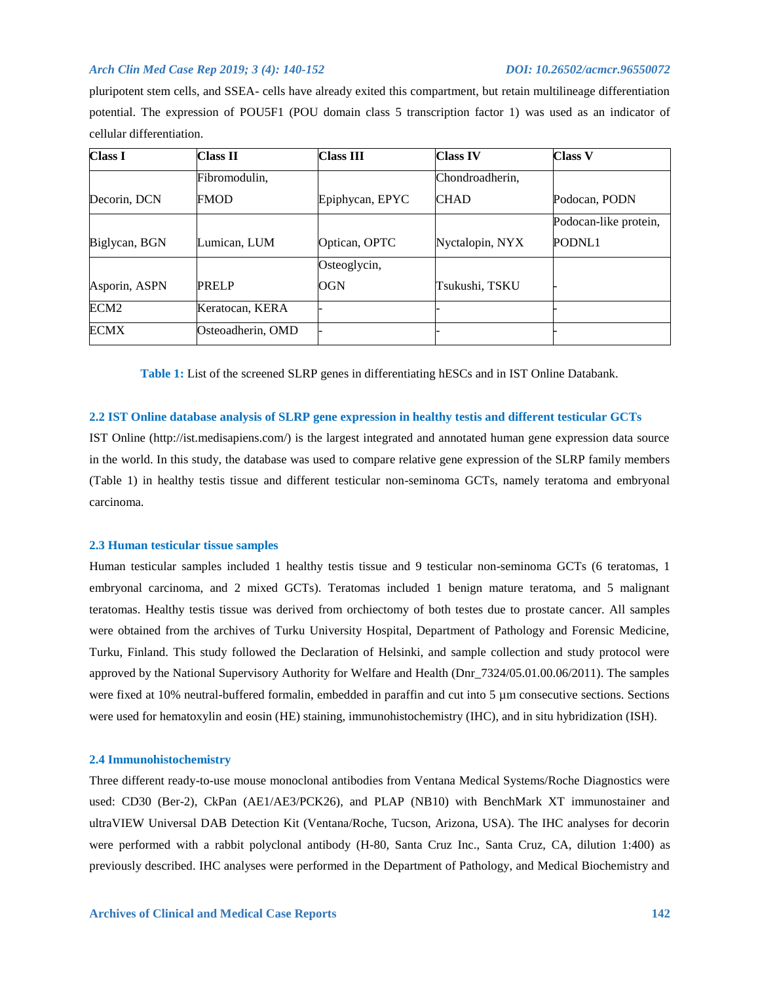pluripotent stem cells, and SSEA- cells have already exited this compartment, but retain multilineage differentiation potential. The expression of POU5F1 (POU domain class 5 transcription factor 1) was used as an indicator of cellular differentiation.

| <b>Class I</b>   | <b>Class II</b>   | <b>Class III</b> | <b>Class IV</b> | <b>Class V</b>        |
|------------------|-------------------|------------------|-----------------|-----------------------|
|                  | Fibromodulin,     |                  | Chondroadherin, |                       |
| Decorin, DCN     | <b>FMOD</b>       | Epiphycan, EPYC  | <b>CHAD</b>     | Podocan, PODN         |
|                  |                   |                  |                 | Podocan-like protein, |
| Biglycan, BGN    | Lumican, LUM      | Optican, OPTC    | Nyctalopin, NYX | PODNL1                |
|                  |                   | Osteoglycin,     |                 |                       |
| Asporin, ASPN    | <b>PRELP</b>      | OGN              | Tsukushi, TSKU  |                       |
| ECM <sub>2</sub> | Keratocan, KERA   |                  |                 |                       |
| <b>ECMX</b>      | Osteoadherin, OMD |                  |                 |                       |

**Table 1:** List of the screened SLRP genes in differentiating hESCs and in IST Online Databank.

## **2.2 IST Online database analysis of SLRP gene expression in healthy testis and different testicular GCTs**

IST Online (http://ist.medisapiens.com/) is the largest integrated and annotated human gene expression data source in the world. In this study, the database was used to compare relative gene expression of the SLRP family members (Table 1) in healthy testis tissue and different testicular non-seminoma GCTs, namely teratoma and embryonal carcinoma.

## **2.3 Human testicular tissue samples**

Human testicular samples included 1 healthy testis tissue and 9 testicular non-seminoma GCTs (6 teratomas, 1 embryonal carcinoma, and 2 mixed GCTs). Teratomas included 1 benign mature teratoma, and 5 malignant teratomas. Healthy testis tissue was derived from orchiectomy of both testes due to prostate cancer. All samples were obtained from the archives of Turku University Hospital, Department of Pathology and Forensic Medicine, Turku, Finland. This study followed the Declaration of Helsinki, and sample collection and study protocol were approved by the National Supervisory Authority for Welfare and Health (Dnr\_7324/05.01.00.06/2011). The samples were fixed at 10% neutral-buffered formalin, embedded in paraffin and cut into 5 µm consecutive sections. Sections were used for hematoxylin and eosin (HE) staining, immunohistochemistry (IHC), and in situ hybridization (ISH).

## **2.4 Immunohistochemistry**

Three different ready-to-use mouse monoclonal antibodies from Ventana Medical Systems/Roche Diagnostics were used: CD30 (Ber-2), CkPan (AE1/AE3/PCK26), and PLAP (NB10) with BenchMark XT immunostainer and ultraVIEW Universal DAB Detection Kit (Ventana/Roche, Tucson, Arizona, USA). The IHC analyses for decorin were performed with a rabbit polyclonal antibody (H-80, Santa Cruz Inc., Santa Cruz, CA, dilution 1:400) as previously described. IHC analyses were performed in the Department of Pathology, and Medical Biochemistry and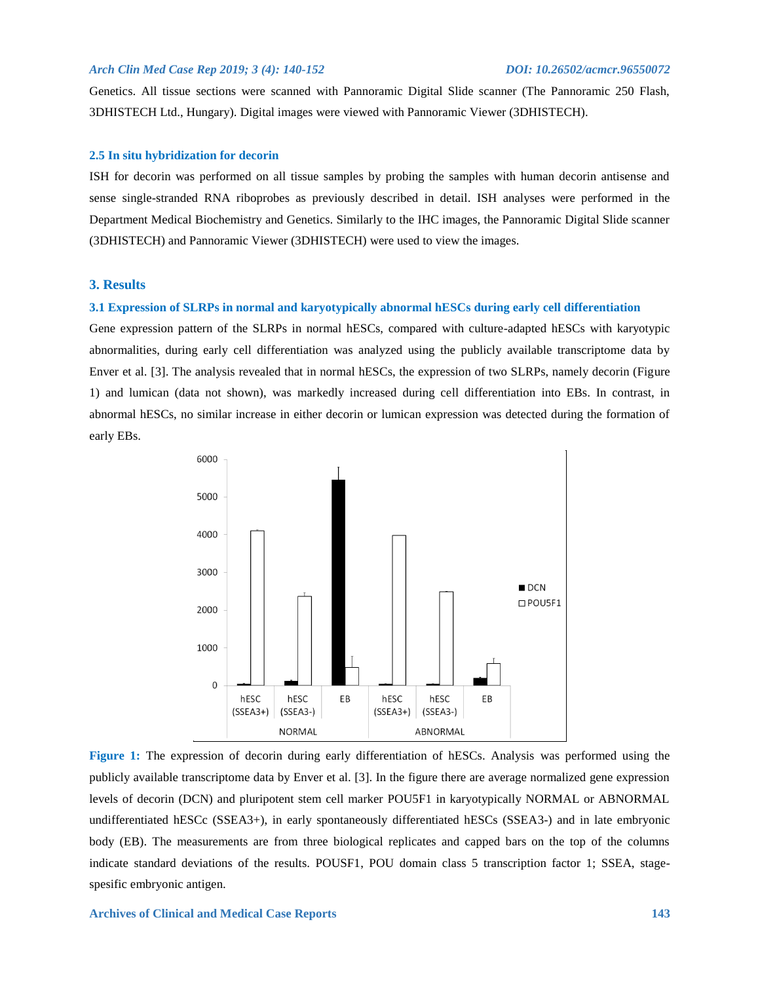Genetics. All tissue sections were scanned with Pannoramic Digital Slide scanner (The Pannoramic 250 Flash, 3DHISTECH Ltd., Hungary). Digital images were viewed with Pannoramic Viewer (3DHISTECH).

## **2.5 In situ hybridization for decorin**

ISH for decorin was performed on all tissue samples by probing the samples with human decorin antisense and sense single-stranded RNA riboprobes as previously described in detail. ISH analyses were performed in the Department Medical Biochemistry and Genetics. Similarly to the IHC images, the Pannoramic Digital Slide scanner (3DHISTECH) and Pannoramic Viewer (3DHISTECH) were used to view the images.

## **3. Results**

### **3.1 Expression of SLRPs in normal and karyotypically abnormal hESCs during early cell differentiation**

Gene expression pattern of the SLRPs in normal hESCs, compared with culture-adapted hESCs with karyotypic abnormalities, during early cell differentiation was analyzed using the publicly available transcriptome data by Enver et al. [3]. The analysis revealed that in normal hESCs, the expression of two SLRPs, namely decorin (Figure 1) and lumican (data not shown), was markedly increased during cell differentiation into EBs. In contrast, in abnormal hESCs, no similar increase in either decorin or lumican expression was detected during the formation of early EBs.



**Figure 1:** The expression of decorin during early differentiation of hESCs. Analysis was performed using the publicly available transcriptome data by Enver et al. [3]. In the figure there are average normalized gene expression levels of decorin (DCN) and pluripotent stem cell marker POU5F1 in karyotypically NORMAL or ABNORMAL undifferentiated hESCc (SSEA3+), in early spontaneously differentiated hESCs (SSEA3-) and in late embryonic body (EB). The measurements are from three biological replicates and capped bars on the top of the columns indicate standard deviations of the results. POUSF1, POU domain class 5 transcription factor 1; SSEA, stagespesific embryonic antigen.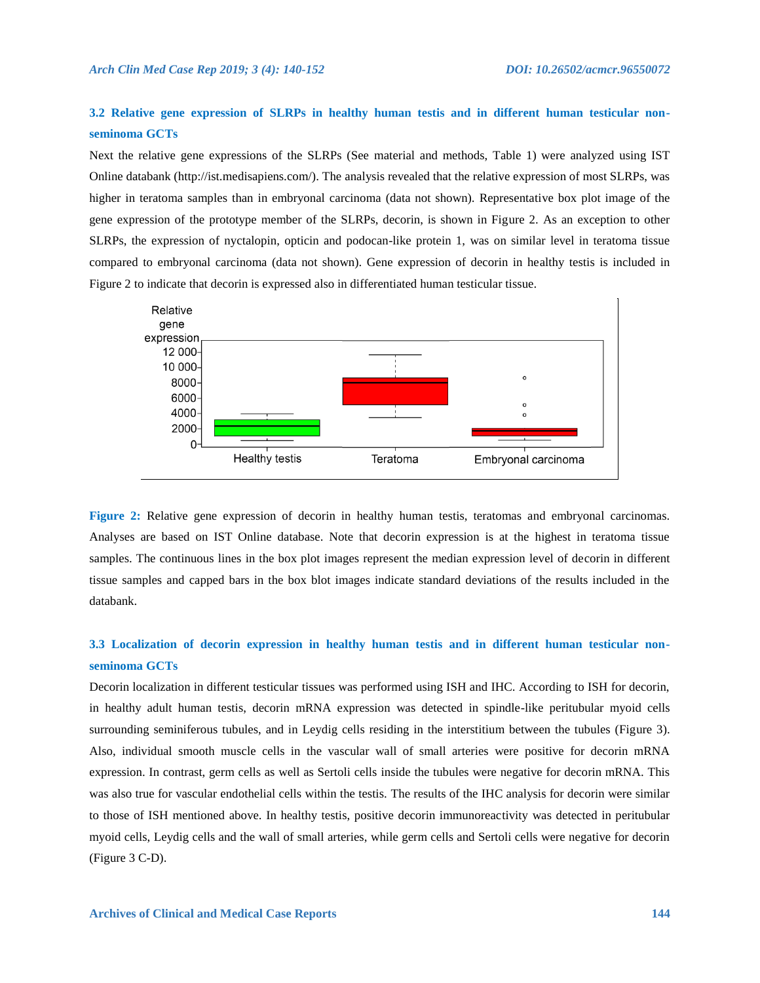## **3.2 Relative gene expression of SLRPs in healthy human testis and in different human testicular nonseminoma GCTs**

Next the relative gene expressions of the SLRPs (See material and methods, Table 1) were analyzed using IST Online databank (http://ist.medisapiens.com/). The analysis revealed that the relative expression of most SLRPs, was higher in teratoma samples than in embryonal carcinoma (data not shown). Representative box plot image of the gene expression of the prototype member of the SLRPs, decorin, is shown in Figure 2. As an exception to other SLRPs, the expression of nyctalopin, opticin and podocan-like protein 1, was on similar level in teratoma tissue compared to embryonal carcinoma (data not shown). Gene expression of decorin in healthy testis is included in Figure 2 to indicate that decorin is expressed also in differentiated human testicular tissue.



**Figure 2:** Relative gene expression of decorin in healthy human testis, teratomas and embryonal carcinomas. Analyses are based on IST Online database. Note that decorin expression is at the highest in teratoma tissue samples. The continuous lines in the box plot images represent the median expression level of decorin in different tissue samples and capped bars in the box blot images indicate standard deviations of the results included in the databank.

## **3.3 Localization of decorin expression in healthy human testis and in different human testicular nonseminoma GCTs**

Decorin localization in different testicular tissues was performed using ISH and IHC. According to ISH for decorin, in healthy adult human testis, decorin mRNA expression was detected in spindle-like peritubular myoid cells surrounding seminiferous tubules, and in Leydig cells residing in the interstitium between the tubules (Figure 3). Also, individual smooth muscle cells in the vascular wall of small arteries were positive for decorin mRNA expression. In contrast, germ cells as well as Sertoli cells inside the tubules were negative for decorin mRNA. This was also true for vascular endothelial cells within the testis. The results of the IHC analysis for decorin were similar to those of ISH mentioned above. In healthy testis, positive decorin immunoreactivity was detected in peritubular myoid cells, Leydig cells and the wall of small arteries, while germ cells and Sertoli cells were negative for decorin (Figure 3 C-D).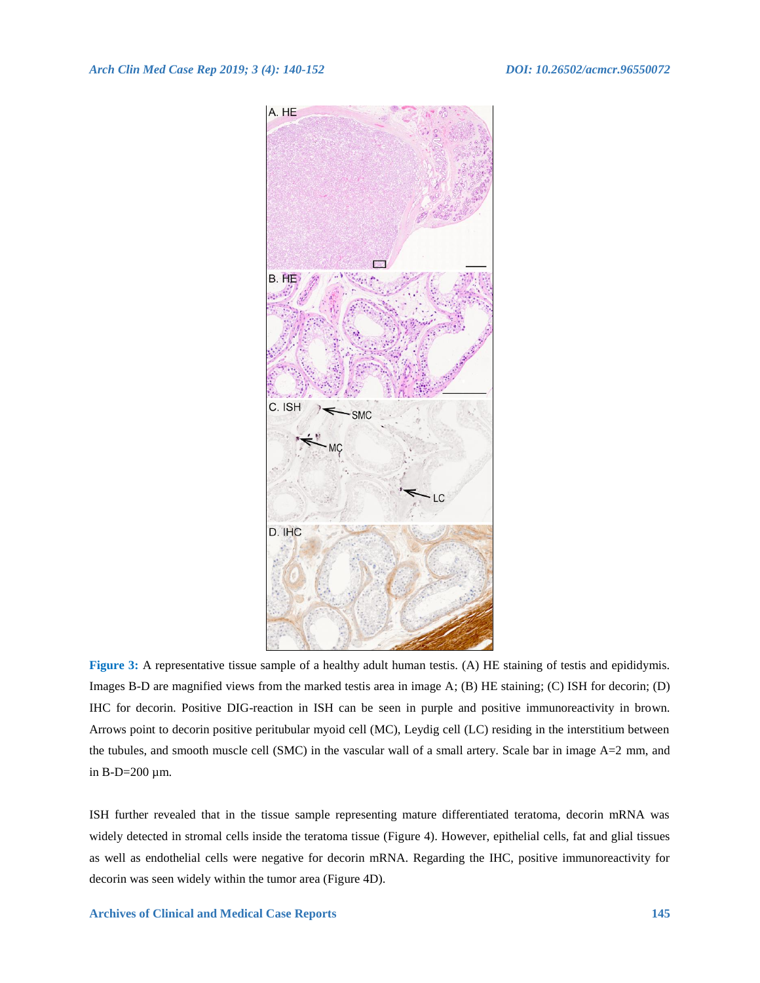

**Figure 3:** A representative tissue sample of a healthy adult human testis. (A) HE staining of testis and epididymis. Images B-D are magnified views from the marked testis area in image A; (B) HE staining; (C) ISH for decorin; (D) IHC for decorin. Positive DIG-reaction in ISH can be seen in purple and positive immunoreactivity in brown. Arrows point to decorin positive peritubular myoid cell (MC), Leydig cell (LC) residing in the interstitium between the tubules, and smooth muscle cell (SMC) in the vascular wall of a small artery. Scale bar in image A=2 mm, and in B-D=200 µm.

ISH further revealed that in the tissue sample representing mature differentiated teratoma, decorin mRNA was widely detected in stromal cells inside the teratoma tissue (Figure 4). However, epithelial cells, fat and glial tissues as well as endothelial cells were negative for decorin mRNA. Regarding the IHC, positive immunoreactivity for decorin was seen widely within the tumor area (Figure 4D).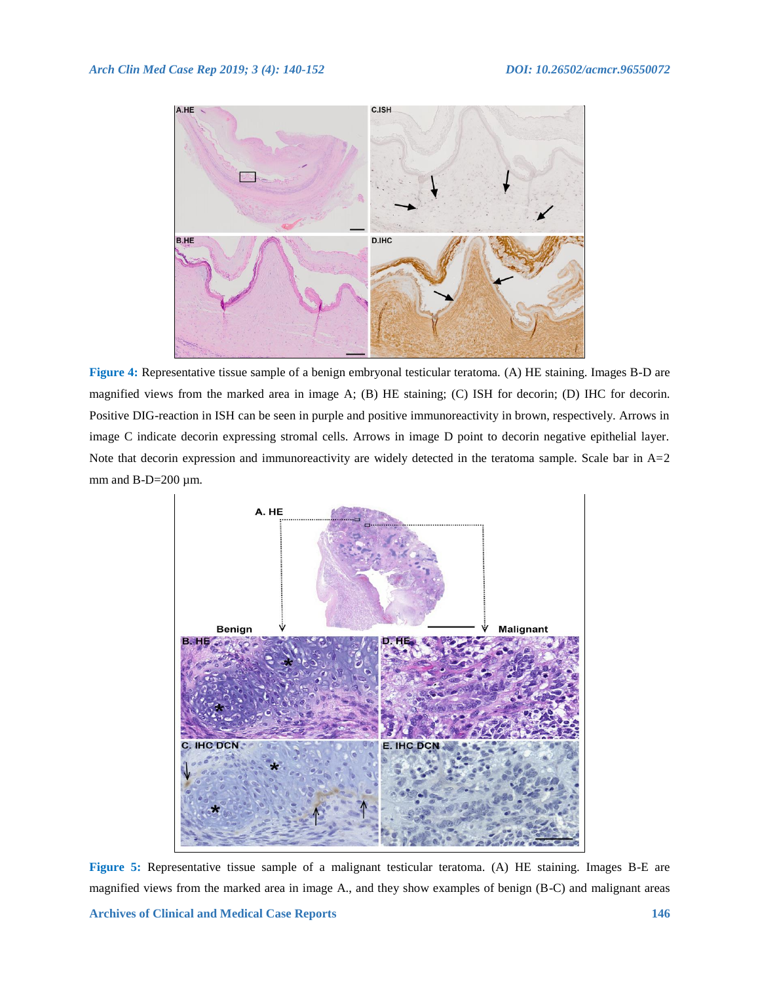

**Figure 4:** Representative tissue sample of a benign embryonal testicular teratoma. (A) HE staining. Images B-D are magnified views from the marked area in image A; (B) HE staining; (C) ISH for decorin; (D) IHC for decorin. Positive DIG-reaction in ISH can be seen in purple and positive immunoreactivity in brown, respectively. Arrows in image C indicate decorin expressing stromal cells. Arrows in image D point to decorin negative epithelial layer. Note that decorin expression and immunoreactivity are widely detected in the teratoma sample. Scale bar in A=2 mm and  $B-D=200 \mu m$ .



**Figure 5:** Representative tissue sample of a malignant testicular teratoma. (A) HE staining. Images B-E are magnified views from the marked area in image A., and they show examples of benign (B-C) and malignant areas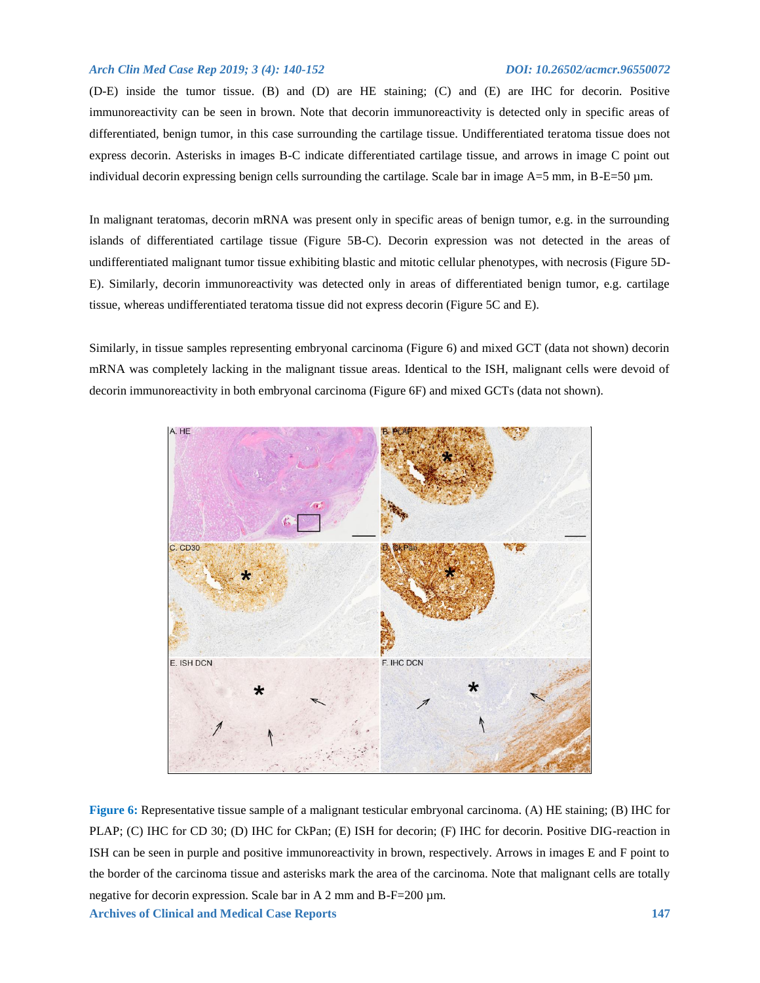(D-E) inside the tumor tissue. (B) and (D) are HE staining; (C) and (E) are IHC for decorin. Positive immunoreactivity can be seen in brown. Note that decorin immunoreactivity is detected only in specific areas of differentiated, benign tumor, in this case surrounding the cartilage tissue. Undifferentiated teratoma tissue does not express decorin. Asterisks in images B-C indicate differentiated cartilage tissue, and arrows in image C point out individual decorin expressing benign cells surrounding the cartilage. Scale bar in image  $A=5$  mm, in  $B-E=50$  µm.

In malignant teratomas, decorin mRNA was present only in specific areas of benign tumor, e.g. in the surrounding islands of differentiated cartilage tissue (Figure 5B-C). Decorin expression was not detected in the areas of undifferentiated malignant tumor tissue exhibiting blastic and mitotic cellular phenotypes, with necrosis (Figure 5D-E). Similarly, decorin immunoreactivity was detected only in areas of differentiated benign tumor, e.g. cartilage tissue, whereas undifferentiated teratoma tissue did not express decorin (Figure 5C and E).

Similarly, in tissue samples representing embryonal carcinoma (Figure 6) and mixed GCT (data not shown) decorin mRNA was completely lacking in the malignant tissue areas. Identical to the ISH, malignant cells were devoid of decorin immunoreactivity in both embryonal carcinoma (Figure 6F) and mixed GCTs (data not shown).



**Archives of Clinical and Medical Case Reports 147 Figure 6:** Representative tissue sample of a malignant testicular embryonal carcinoma. (A) HE staining; (B) IHC for PLAP; (C) IHC for CD 30; (D) IHC for CkPan; (E) ISH for decorin; (F) IHC for decorin. Positive DIG-reaction in ISH can be seen in purple and positive immunoreactivity in brown, respectively. Arrows in images E and F point to the border of the carcinoma tissue and asterisks mark the area of the carcinoma. Note that malignant cells are totally negative for decorin expression. Scale bar in A 2 mm and B-F=200 µm.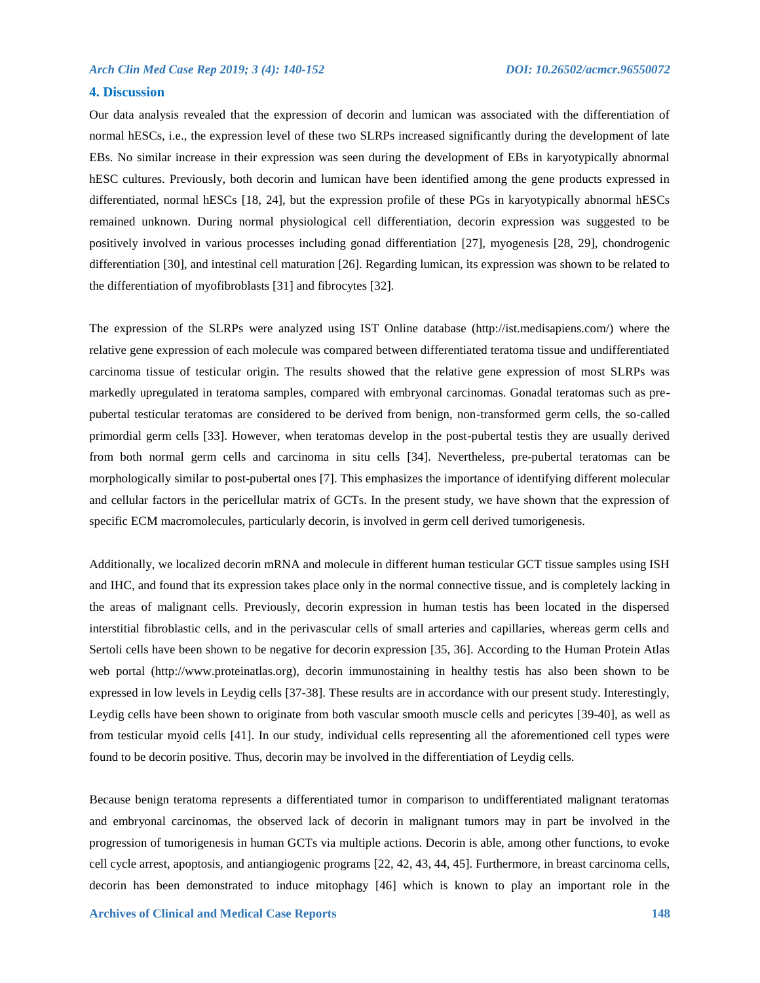## **4. Discussion**

Our data analysis revealed that the expression of decorin and lumican was associated with the differentiation of normal hESCs, i.e., the expression level of these two SLRPs increased significantly during the development of late EBs. No similar increase in their expression was seen during the development of EBs in karyotypically abnormal hESC cultures. Previously, both decorin and lumican have been identified among the gene products expressed in differentiated, normal hESCs [18, 24], but the expression profile of these PGs in karyotypically abnormal hESCs remained unknown. During normal physiological cell differentiation, decorin expression was suggested to be positively involved in various processes including gonad differentiation [27], myogenesis [28, 29], chondrogenic differentiation [30], and intestinal cell maturation [26]. Regarding lumican, its expression was shown to be related to the differentiation of myofibroblasts [31] and fibrocytes [32].

The expression of the SLRPs were analyzed using IST Online database (http://ist.medisapiens.com/) where the relative gene expression of each molecule was compared between differentiated teratoma tissue and undifferentiated carcinoma tissue of testicular origin. The results showed that the relative gene expression of most SLRPs was markedly upregulated in teratoma samples, compared with embryonal carcinomas. Gonadal teratomas such as prepubertal testicular teratomas are considered to be derived from benign, non-transformed germ cells, the so-called primordial germ cells [33]. However, when teratomas develop in the post-pubertal testis they are usually derived from both normal germ cells and carcinoma in situ cells [34]. Nevertheless, pre-pubertal teratomas can be morphologically similar to post-pubertal ones [7]. This emphasizes the importance of identifying different molecular and cellular factors in the pericellular matrix of GCTs. In the present study, we have shown that the expression of specific ECM macromolecules, particularly decorin, is involved in germ cell derived tumorigenesis.

Additionally, we localized decorin mRNA and molecule in different human testicular GCT tissue samples using ISH and IHC, and found that its expression takes place only in the normal connective tissue, and is completely lacking in the areas of malignant cells. Previously, decorin expression in human testis has been located in the dispersed interstitial fibroblastic cells, and in the perivascular cells of small arteries and capillaries, whereas germ cells and Sertoli cells have been shown to be negative for decorin expression [35, 36]. According to the Human Protein Atlas web portal (http://www.proteinatlas.org), decorin immunostaining in healthy testis has also been shown to be expressed in low levels in Leydig cells [37-38]. These results are in accordance with our present study. Interestingly, Leydig cells have been shown to originate from both vascular smooth muscle cells and pericytes [39-40], as well as from testicular myoid cells [41]. In our study, individual cells representing all the aforementioned cell types were found to be decorin positive. Thus, decorin may be involved in the differentiation of Leydig cells.

Because benign teratoma represents a differentiated tumor in comparison to undifferentiated malignant teratomas and embryonal carcinomas, the observed lack of decorin in malignant tumors may in part be involved in the progression of tumorigenesis in human GCTs via multiple actions. Decorin is able, among other functions, to evoke cell cycle arrest, apoptosis, and antiangiogenic programs [22, 42, 43, 44, 45]. Furthermore, in breast carcinoma cells, decorin has been demonstrated to induce mitophagy [46] which is known to play an important role in the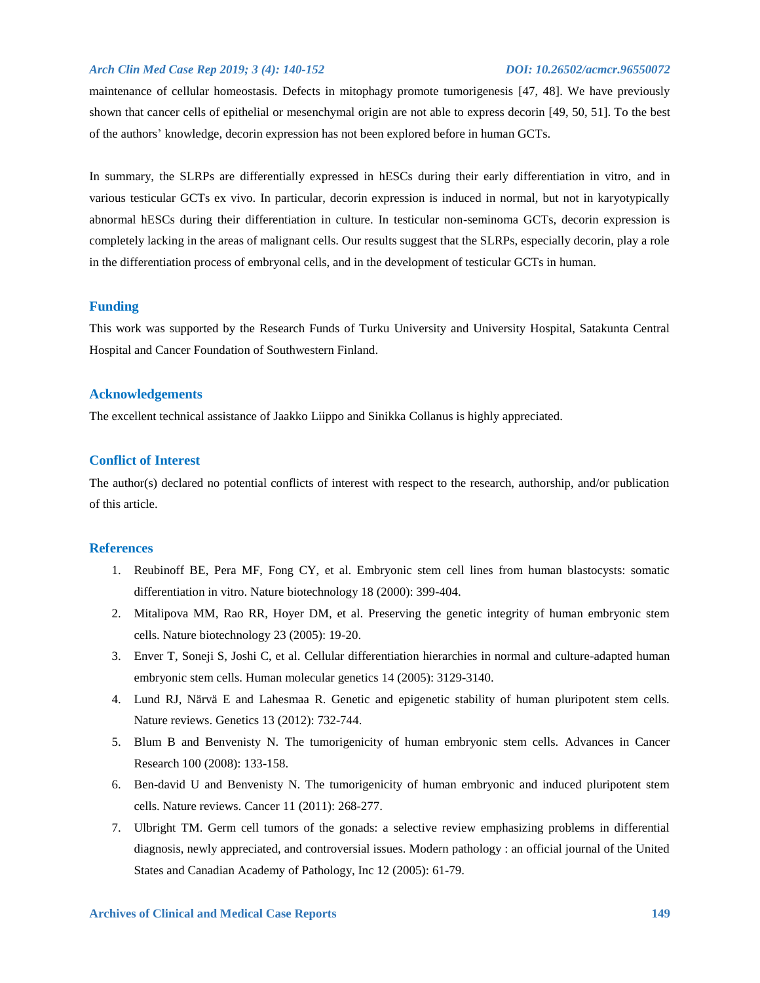maintenance of cellular homeostasis. Defects in mitophagy promote tumorigenesis [47, 48]. We have previously shown that cancer cells of epithelial or mesenchymal origin are not able to express decorin [49, 50, 51]. To the best of the authors' knowledge, decorin expression has not been explored before in human GCTs.

In summary, the SLRPs are differentially expressed in hESCs during their early differentiation in vitro, and in various testicular GCTs ex vivo. In particular, decorin expression is induced in normal, but not in karyotypically abnormal hESCs during their differentiation in culture. In testicular non-seminoma GCTs, decorin expression is completely lacking in the areas of malignant cells. Our results suggest that the SLRPs, especially decorin, play a role in the differentiation process of embryonal cells, and in the development of testicular GCTs in human.

## **Funding**

This work was supported by the Research Funds of Turku University and University Hospital, Satakunta Central Hospital and Cancer Foundation of Southwestern Finland.

## **Acknowledgements**

The excellent technical assistance of Jaakko Liippo and Sinikka Collanus is highly appreciated.

## **Conflict of Interest**

The author(s) declared no potential conflicts of interest with respect to the research, authorship, and/or publication of this article.

## **References**

- 1. Reubinoff BE, Pera MF, Fong CY, et al. Embryonic stem cell lines from human blastocysts: somatic differentiation in vitro. Nature biotechnology 18 (2000): 399-404.
- 2. Mitalipova MM, Rao RR, Hoyer DM, et al. Preserving the genetic integrity of human embryonic stem cells. Nature biotechnology 23 (2005): 19-20.
- 3. Enver T, Soneji S, Joshi C, et al. Cellular differentiation hierarchies in normal and culture-adapted human embryonic stem cells. Human molecular genetics 14 (2005): 3129-3140.
- 4. Lund RJ, Närvä E and Lahesmaa R. Genetic and epigenetic stability of human pluripotent stem cells. Nature reviews. Genetics 13 (2012): 732-744.
- 5. Blum B and Benvenisty N. The tumorigenicity of human embryonic stem cells. Advances in Cancer Research 100 (2008): 133-158.
- 6. Ben-david U and Benvenisty N. The tumorigenicity of human embryonic and induced pluripotent stem cells. Nature reviews. Cancer 11 (2011): 268-277.
- 7. Ulbright TM. Germ cell tumors of the gonads: a selective review emphasizing problems in differential diagnosis, newly appreciated, and controversial issues. Modern pathology : an official journal of the United States and Canadian Academy of Pathology, Inc 12 (2005): 61-79.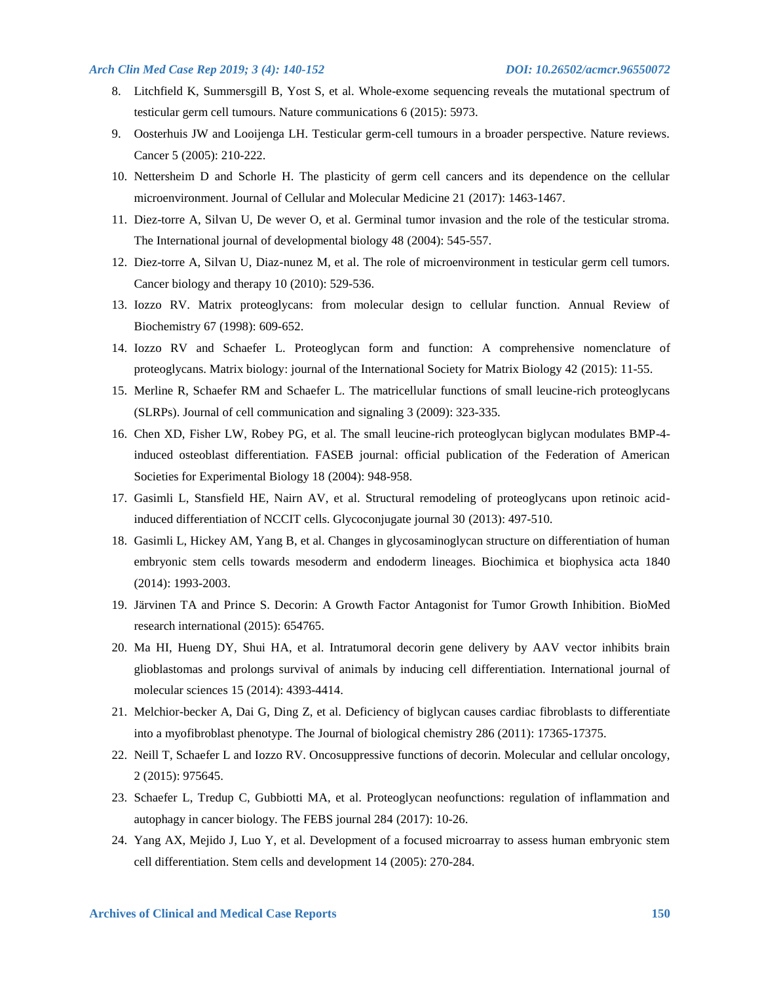- 8. Litchfield K, Summersgill B, Yost S, et al. Whole-exome sequencing reveals the mutational spectrum of testicular germ cell tumours. Nature communications 6 (2015): 5973.
- 9. Oosterhuis JW and Looijenga LH. Testicular germ-cell tumours in a broader perspective. Nature reviews. Cancer 5 (2005): 210-222.
- 10. Nettersheim D and Schorle H. The plasticity of germ cell cancers and its dependence on the cellular microenvironment. Journal of Cellular and Molecular Medicine 21 (2017): 1463-1467.
- 11. Diez-torre A, Silvan U, De wever O, et al. Germinal tumor invasion and the role of the testicular stroma. The International journal of developmental biology 48 (2004): 545-557.
- 12. Diez-torre A, Silvan U, Diaz-nunez M, et al. The role of microenvironment in testicular germ cell tumors. Cancer biology and therapy 10 (2010): 529-536.
- 13. Iozzo RV. Matrix proteoglycans: from molecular design to cellular function. Annual Review of Biochemistry 67 (1998): 609-652.
- 14. Iozzo RV and Schaefer L. Proteoglycan form and function: A comprehensive nomenclature of proteoglycans. Matrix biology: journal of the International Society for Matrix Biology 42 (2015): 11-55.
- 15. Merline R, Schaefer RM and Schaefer L. The matricellular functions of small leucine-rich proteoglycans (SLRPs). Journal of cell communication and signaling 3 (2009): 323-335.
- 16. Chen XD, Fisher LW, Robey PG, et al. The small leucine-rich proteoglycan biglycan modulates BMP-4 induced osteoblast differentiation. FASEB journal: official publication of the Federation of American Societies for Experimental Biology 18 (2004): 948-958.
- 17. Gasimli L, Stansfield HE, Nairn AV, et al. Structural remodeling of proteoglycans upon retinoic acidinduced differentiation of NCCIT cells. Glycoconjugate journal 30 (2013): 497-510.
- 18. Gasimli L, Hickey AM, Yang B, et al. Changes in glycosaminoglycan structure on differentiation of human embryonic stem cells towards mesoderm and endoderm lineages. Biochimica et biophysica acta 1840 (2014): 1993-2003.
- 19. Järvinen TA and Prince S. Decorin: A Growth Factor Antagonist for Tumor Growth Inhibition. BioMed research international (2015): 654765.
- 20. Ma HI, Hueng DY, Shui HA, et al. Intratumoral decorin gene delivery by AAV vector inhibits brain glioblastomas and prolongs survival of animals by inducing cell differentiation. International journal of molecular sciences 15 (2014): 4393-4414.
- 21. Melchior-becker A, Dai G, Ding Z, et al. Deficiency of biglycan causes cardiac fibroblasts to differentiate into a myofibroblast phenotype. The Journal of biological chemistry 286 (2011): 17365-17375.
- 22. Neill T, Schaefer L and Iozzo RV. Oncosuppressive functions of decorin. Molecular and cellular oncology, 2 (2015): 975645.
- 23. Schaefer L, Tredup C, Gubbiotti MA, et al. Proteoglycan neofunctions: regulation of inflammation and autophagy in cancer biology. The FEBS journal 284 (2017): 10-26.
- 24. Yang AX, Mejido J, Luo Y, et al. Development of a focused microarray to assess human embryonic stem cell differentiation. Stem cells and development 14 (2005): 270-284.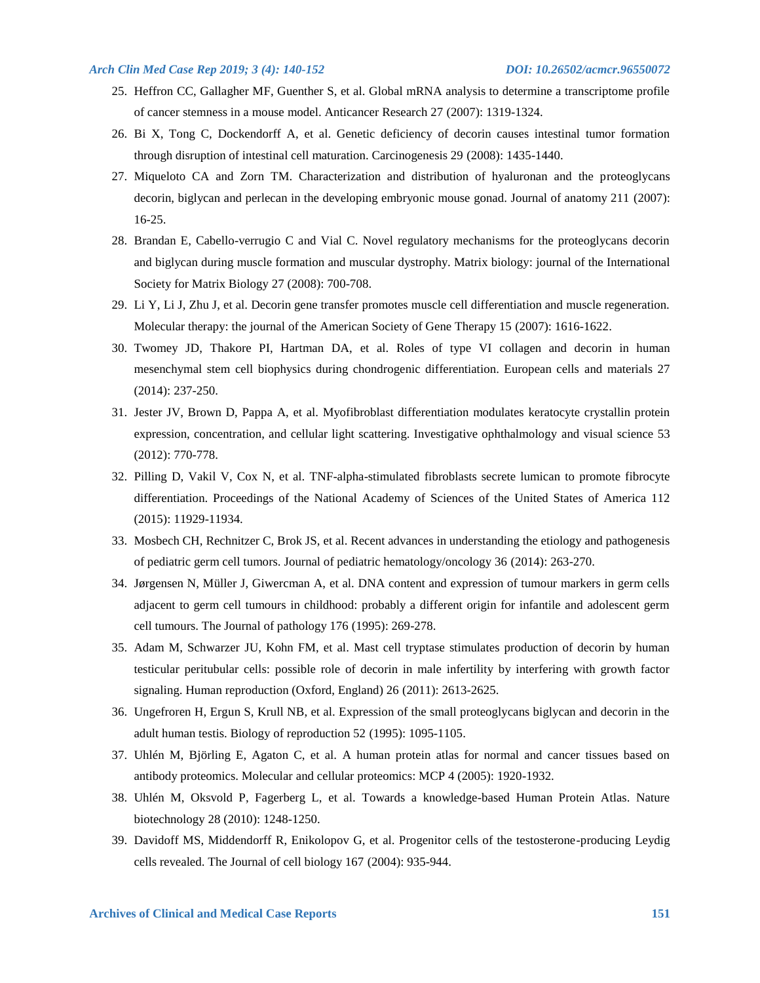- 25. Heffron CC, Gallagher MF, Guenther S, et al. Global mRNA analysis to determine a transcriptome profile of cancer stemness in a mouse model. Anticancer Research 27 (2007): 1319-1324.
- 26. Bi X, Tong C, Dockendorff A, et al. Genetic deficiency of decorin causes intestinal tumor formation through disruption of intestinal cell maturation. Carcinogenesis 29 (2008): 1435-1440.
- 27. Miqueloto CA and Zorn TM. Characterization and distribution of hyaluronan and the proteoglycans decorin, biglycan and perlecan in the developing embryonic mouse gonad. Journal of anatomy 211 (2007): 16-25.
- 28. Brandan E, Cabello-verrugio C and Vial C. Novel regulatory mechanisms for the proteoglycans decorin and biglycan during muscle formation and muscular dystrophy. Matrix biology: journal of the International Society for Matrix Biology 27 (2008): 700-708.
- 29. Li Y, Li J, Zhu J, et al. Decorin gene transfer promotes muscle cell differentiation and muscle regeneration. Molecular therapy: the journal of the American Society of Gene Therapy 15 (2007): 1616-1622.
- 30. Twomey JD, Thakore PI, Hartman DA, et al. Roles of type VI collagen and decorin in human mesenchymal stem cell biophysics during chondrogenic differentiation. European cells and materials 27 (2014): 237-250.
- 31. Jester JV, Brown D, Pappa A, et al. Myofibroblast differentiation modulates keratocyte crystallin protein expression, concentration, and cellular light scattering. Investigative ophthalmology and visual science 53 (2012): 770-778.
- 32. Pilling D, Vakil V, Cox N, et al. TNF-alpha-stimulated fibroblasts secrete lumican to promote fibrocyte differentiation. Proceedings of the National Academy of Sciences of the United States of America 112 (2015): 11929-11934.
- 33. Mosbech CH, Rechnitzer C, Brok JS, et al. Recent advances in understanding the etiology and pathogenesis of pediatric germ cell tumors. Journal of pediatric hematology/oncology 36 (2014): 263-270.
- 34. Jørgensen N, Müller J, Giwercman A, et al. DNA content and expression of tumour markers in germ cells adjacent to germ cell tumours in childhood: probably a different origin for infantile and adolescent germ cell tumours. The Journal of pathology 176 (1995): 269-278.
- 35. Adam M, Schwarzer JU, Kohn FM, et al. Mast cell tryptase stimulates production of decorin by human testicular peritubular cells: possible role of decorin in male infertility by interfering with growth factor signaling. Human reproduction (Oxford, England) 26 (2011): 2613-2625.
- 36. Ungefroren H, Ergun S, Krull NB, et al. Expression of the small proteoglycans biglycan and decorin in the adult human testis. Biology of reproduction 52 (1995): 1095-1105.
- 37. Uhlén M, Björling E, Agaton C, et al. A human protein atlas for normal and cancer tissues based on antibody proteomics. Molecular and cellular proteomics: MCP 4 (2005): 1920-1932.
- 38. Uhlén M, Oksvold P, Fagerberg L, et al. Towards a knowledge-based Human Protein Atlas. Nature biotechnology 28 (2010): 1248-1250.
- 39. Davidoff MS, Middendorff R, Enikolopov G, et al. Progenitor cells of the testosterone-producing Leydig cells revealed. The Journal of cell biology 167 (2004): 935-944.